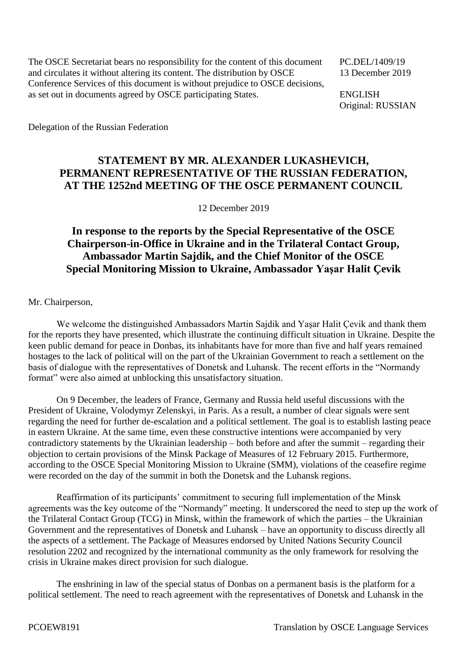The OSCE Secretariat bears no responsibility for the content of this document PC.DEL/1409/19 and circulates it without altering its content. The distribution by OSCE 13 December 2019 Conference Services of this document is without prejudice to OSCE decisions, as set out in documents agreed by OSCE participating States. ENGLISH

Original: RUSSIAN

Delegation of the Russian Federation

## **STATEMENT BY MR. ALEXANDER LUKASHEVICH, PERMANENT REPRESENTATIVE OF THE RUSSIAN FEDERATION, AT THE 1252nd MEETING OF THE OSCE PERMANENT COUNCIL**

12 December 2019

## **In response to the reports by the Special Representative of the OSCE Chairperson-in-Office in Ukraine and in the Trilateral Contact Group, Ambassador Martin Sajdik, and the Chief Monitor of the OSCE Special Monitoring Mission to Ukraine, Ambassador Yaşar Halit Çevik**

Mr. Chairperson,

We welcome the distinguished Ambassadors Martin Sajdik and Yaşar Halit Çevik and thank them for the reports they have presented, which illustrate the continuing difficult situation in Ukraine. Despite the keen public demand for peace in Donbas, its inhabitants have for more than five and half years remained hostages to the lack of political will on the part of the Ukrainian Government to reach a settlement on the basis of dialogue with the representatives of Donetsk and Luhansk. The recent efforts in the "Normandy format" were also aimed at unblocking this unsatisfactory situation.

On 9 December, the leaders of France, Germany and Russia held useful discussions with the President of Ukraine, Volodymyr Zelenskyi, in Paris. As a result, a number of clear signals were sent regarding the need for further de-escalation and a political settlement. The goal is to establish lasting peace in eastern Ukraine. At the same time, even these constructive intentions were accompanied by very contradictory statements by the Ukrainian leadership – both before and after the summit – regarding their objection to certain provisions of the Minsk Package of Measures of 12 February 2015. Furthermore, according to the OSCE Special Monitoring Mission to Ukraine (SMM), violations of the ceasefire regime were recorded on the day of the summit in both the Donetsk and the Luhansk regions.

Reaffirmation of its participants' commitment to securing full implementation of the Minsk agreements was the key outcome of the "Normandy" meeting. It underscored the need to step up the work of the Trilateral Contact Group (TCG) in Minsk, within the framework of which the parties – the Ukrainian Government and the representatives of Donetsk and Luhansk – have an opportunity to discuss directly all the aspects of a settlement. The Package of Measures endorsed by United Nations Security Council resolution 2202 and recognized by the international community as the only framework for resolving the crisis in Ukraine makes direct provision for such dialogue.

The enshrining in law of the special status of Donbas on a permanent basis is the platform for a political settlement. The need to reach agreement with the representatives of Donetsk and Luhansk in the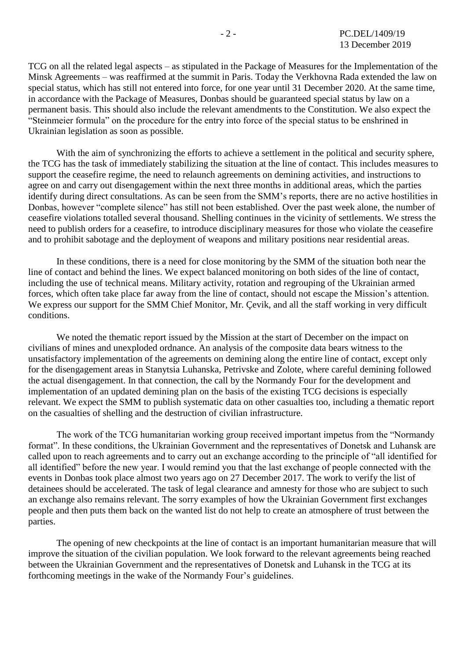TCG on all the related legal aspects – as stipulated in the Package of Measures for the Implementation of the Minsk Agreements – was reaffirmed at the summit in Paris. Today the Verkhovna Rada extended the law on special status, which has still not entered into force, for one year until 31 December 2020. At the same time, in accordance with the Package of Measures, Donbas should be guaranteed special status by law on a permanent basis. This should also include the relevant amendments to the Constitution. We also expect the "Steinmeier formula" on the procedure for the entry into force of the special status to be enshrined in Ukrainian legislation as soon as possible.

With the aim of synchronizing the efforts to achieve a settlement in the political and security sphere, the TCG has the task of immediately stabilizing the situation at the line of contact. This includes measures to support the ceasefire regime, the need to relaunch agreements on demining activities, and instructions to agree on and carry out disengagement within the next three months in additional areas, which the parties identify during direct consultations. As can be seen from the SMM's reports, there are no active hostilities in Donbas, however "complete silence" has still not been established. Over the past week alone, the number of ceasefire violations totalled several thousand. Shelling continues in the vicinity of settlements. We stress the need to publish orders for a ceasefire, to introduce disciplinary measures for those who violate the ceasefire and to prohibit sabotage and the deployment of weapons and military positions near residential areas.

In these conditions, there is a need for close monitoring by the SMM of the situation both near the line of contact and behind the lines. We expect balanced monitoring on both sides of the line of contact, including the use of technical means. Military activity, rotation and regrouping of the Ukrainian armed forces, which often take place far away from the line of contact, should not escape the Mission's attention. We express our support for the SMM Chief Monitor, Mr. Çevik, and all the staff working in very difficult conditions.

We noted the thematic report issued by the Mission at the start of December on the impact on civilians of mines and unexploded ordnance. An analysis of the composite data bears witness to the unsatisfactory implementation of the agreements on demining along the entire line of contact, except only for the disengagement areas in Stanytsia Luhanska, Petrivske and Zolote, where careful demining followed the actual disengagement. In that connection, the call by the Normandy Four for the development and implementation of an updated demining plan on the basis of the existing TCG decisions is especially relevant. We expect the SMM to publish systematic data on other casualties too, including a thematic report on the casualties of shelling and the destruction of civilian infrastructure.

The work of the TCG humanitarian working group received important impetus from the "Normandy format". In these conditions, the Ukrainian Government and the representatives of Donetsk and Luhansk are called upon to reach agreements and to carry out an exchange according to the principle of "all identified for all identified" before the new year. I would remind you that the last exchange of people connected with the events in Donbas took place almost two years ago on 27 December 2017. The work to verify the list of detainees should be accelerated. The task of legal clearance and amnesty for those who are subject to such an exchange also remains relevant. The sorry examples of how the Ukrainian Government first exchanges people and then puts them back on the wanted list do not help to create an atmosphere of trust between the parties.

The opening of new checkpoints at the line of contact is an important humanitarian measure that will improve the situation of the civilian population. We look forward to the relevant agreements being reached between the Ukrainian Government and the representatives of Donetsk and Luhansk in the TCG at its forthcoming meetings in the wake of the Normandy Four's guidelines.